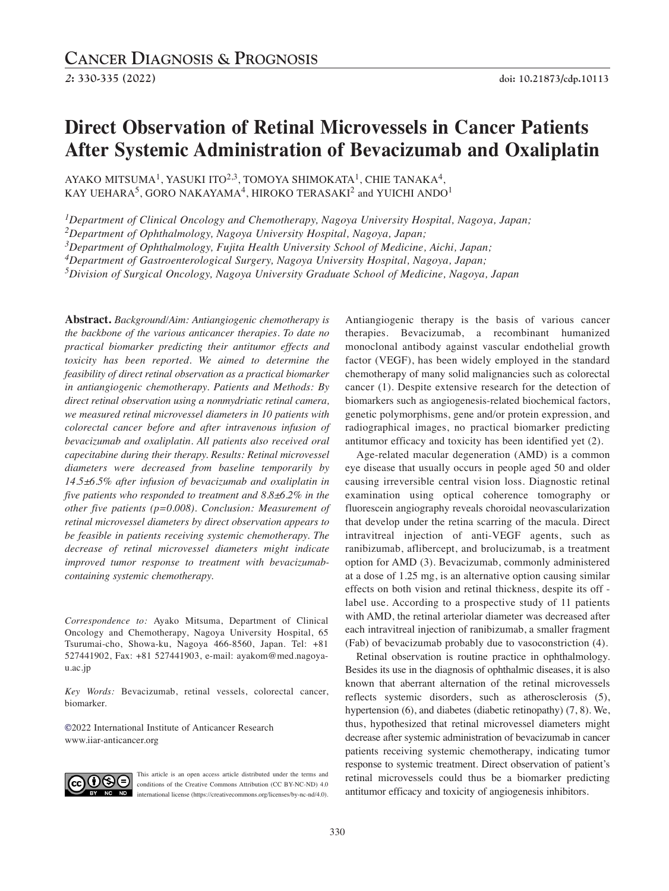# **Direct Observation of Retinal Microvessels in Cancer Patients After Systemic Administration of Bevacizumab and Oxaliplatin**

AYAKO MITSUMA<sup>1</sup>, YASUKI ITO<sup>2,3</sup>, TOMOYA SHIMOKATA<sup>1</sup>, CHIE TANAKA<sup>4</sup>, KAY UEHARA<sup>5</sup>, GORO NAKAYAMA<sup>4</sup>, HIROKO TERASAKI<sup>2</sup> and YUICHI ANDO<sup>1</sup>

*1Department of Clinical Oncology and Chemotherapy, Nagoya University Hospital, Nagoya, Japan;*

*2Department of Ophthalmology, Nagoya University Hospital, Nagoya, Japan;*

*3Department of Ophthalmology, Fujita Health University School of Medicine, Aichi, Japan;*

*4Department of Gastroenterological Surgery, Nagoya University Hospital, Nagoya, Japan;*

*5Division of Surgical Oncology, Nagoya University Graduate School of Medicine, Nagoya, Japan*

**Abstract.** *Background/Aim: Antiangiogenic chemotherapy is the backbone of the various anticancer therapies. To date no practical biomarker predicting their antitumor effects and toxicity has been reported. We aimed to determine the feasibility of direct retinal observation as a practical biomarker in antiangiogenic chemotherapy. Patients and Methods: By direct retinal observation using a nonmydriatic retinal camera, we measured retinal microvessel diameters in 10 patients with colorectal cancer before and after intravenous infusion of bevacizumab and oxaliplatin. All patients also received oral capecitabine during their therapy. Results: Retinal microvessel diameters were decreased from baseline temporarily by 14.5±6.5% after infusion of bevacizumab and oxaliplatin in five patients who responded to treatment and 8.8±6.2% in the other five patients (p=0.008). Conclusion: Measurement of retinal microvessel diameters by direct observation appears to be feasible in patients receiving systemic chemotherapy. The decrease of retinal microvessel diameters might indicate improved tumor response to treatment with bevacizumabcontaining systemic chemotherapy.*

*Correspondence to:* Ayako Mitsuma, Department of Clinical Oncology and Chemotherapy, Nagoya University Hospital, 65 Tsurumai-cho, Showa-ku, Nagoya 466-8560, Japan. Tel: +81 527441902, Fax: +81 527441903, e-mail: ayakom@med.nagoyau.ac.jp

*Key Words:* Bevacizumab, retinal vessels, colorectal cancer, biomarker.

**©**2022 International Institute of Anticancer Research www.iiar-anticancer.org



This article is an open access article distributed under the terms and conditions of the Creative Commons Attribution (CC BY-NC-ND) 4.0 international license (https://creativecommons.org/licenses/by-nc-nd/4.0). Antiangiogenic therapy is the basis of various cancer therapies. Bevacizumab, a recombinant humanized monoclonal antibody against vascular endothelial growth factor (VEGF), has been widely employed in the standard chemotherapy of many solid malignancies such as colorectal cancer (1). Despite extensive research for the detection of biomarkers such as angiogenesis-related biochemical factors, genetic polymorphisms, gene and/or protein expression, and radiographical images, no practical biomarker predicting antitumor efficacy and toxicity has been identified yet (2).

Age-related macular degeneration (AMD) is a common eye disease that usually occurs in people aged 50 and older causing irreversible central vision loss. Diagnostic retinal examination using optical coherence tomography or fluorescein angiography reveals choroidal neovascularization that develop under the retina scarring of the macula. Direct intravitreal injection of anti-VEGF agents, such as ranibizumab, aflibercept, and brolucizumab, is a treatment option for AMD (3). Bevacizumab, commonly administered at a dose of 1.25 mg, is an alternative option causing similar effects on both vision and retinal thickness, despite its off label use. According to a prospective study of 11 patients with AMD, the retinal arteriolar diameter was decreased after each intravitreal injection of ranibizumab, a smaller fragment (Fab) of bevacizumab probably due to vasoconstriction (4).

Retinal observation is routine practice in ophthalmology. Besides its use in the diagnosis of ophthalmic diseases, it is also known that aberrant alternation of the retinal microvessels reflects systemic disorders, such as atherosclerosis (5), hypertension (6), and diabetes (diabetic retinopathy) (7, 8). We, thus, hypothesized that retinal microvessel diameters might decrease after systemic administration of bevacizumab in cancer patients receiving systemic chemotherapy, indicating tumor response to systemic treatment. Direct observation of patient's retinal microvessels could thus be a biomarker predicting antitumor efficacy and toxicity of angiogenesis inhibitors.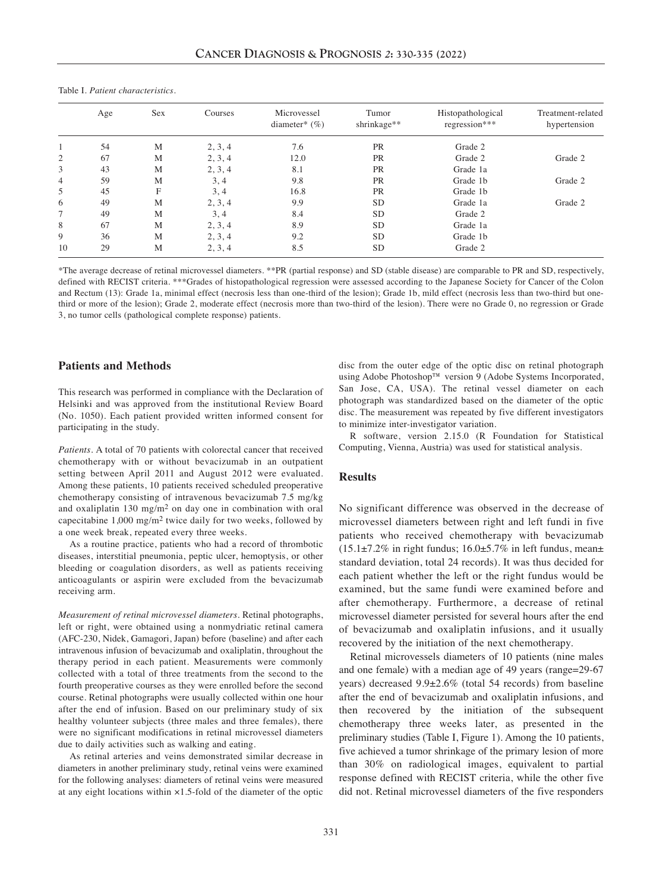|                | Age | Sex | Courses | Microvessel<br>diameter* $(\%)$ | Tumor<br>shrinkage** | Histopathological<br>regression*** | Treatment-related<br>hypertension |
|----------------|-----|-----|---------|---------------------------------|----------------------|------------------------------------|-----------------------------------|
|                | 54  | М   | 2, 3, 4 | 7.6                             | PR                   | Grade 2                            |                                   |
| $\overline{c}$ | 67  | M   | 2, 3, 4 | 12.0                            | PR                   | Grade 2                            | Grade 2                           |
| 3              | 43  | M   | 2, 3, 4 | 8.1                             | <b>PR</b>            | Grade 1a                           |                                   |
| $\overline{4}$ | 59  | M   | 3, 4    | 9.8                             | <b>PR</b>            | Grade 1b                           | Grade 2                           |
| 5              | 45  | F   | 3, 4    | 16.8                            | PR                   | Grade 1b                           |                                   |
| 6              | 49  | M   | 2, 3, 4 | 9.9                             | <b>SD</b>            | Grade 1a                           | Grade 2                           |
| 7              | 49  | M   | 3, 4    | 8.4                             | <b>SD</b>            | Grade 2                            |                                   |
| 8              | 67  | M   | 2, 3, 4 | 8.9                             | <b>SD</b>            | Grade 1a                           |                                   |
| 9              | 36  | M   | 2, 3, 4 | 9.2                             | <b>SD</b>            | Grade 1b                           |                                   |
| 10             | 29  | M   | 2, 3, 4 | 8.5                             | <b>SD</b>            | Grade 2                            |                                   |

#### Table I. *Patient characteristics.*

\*The average decrease of retinal microvessel diameters. \*\*PR (partial response) and SD (stable disease) are comparable to PR and SD, respectively, defined with RECIST criteria. \*\*\*Grades of histopathological regression were assessed according to the Japanese Society for Cancer of the Colon and Rectum (13): Grade 1a, minimal effect (necrosis less than one-third of the lesion); Grade 1b, mild effect (necrosis less than two-third but onethird or more of the lesion); Grade 2, moderate effect (necrosis more than two-third of the lesion). There were no Grade 0, no regression or Grade 3, no tumor cells (pathological complete response) patients.

# **Patients and Methods**

This research was performed in compliance with the Declaration of Helsinki and was approved from the institutional Review Board (No. 1050). Each patient provided written informed consent for participating in the study.

*Patients.* A total of 70 patients with colorectal cancer that received chemotherapy with or without bevacizumab in an outpatient setting between April 2011 and August 2012 were evaluated. Among these patients, 10 patients received scheduled preoperative chemotherapy consisting of intravenous bevacizumab 7.5 mg/kg and oxaliplatin 130 mg/m2 on day one in combination with oral capecitabine 1,000 mg/m2 twice daily for two weeks, followed by a one week break, repeated every three weeks.

As a routine practice, patients who had a record of thrombotic diseases, interstitial pneumonia, peptic ulcer, hemoptysis, or other bleeding or coagulation disorders, as well as patients receiving anticoagulants or aspirin were excluded from the bevacizumab receiving arm.

*Measurement of retinal microvessel diameters*. Retinal photographs, left or right, were obtained using a nonmydriatic retinal camera (AFC-230, Nidek, Gamagori, Japan) before (baseline) and after each intravenous infusion of bevacizumab and oxaliplatin, throughout the therapy period in each patient. Measurements were commonly collected with a total of three treatments from the second to the fourth preoperative courses as they were enrolled before the second course. Retinal photographs were usually collected within one hour after the end of infusion. Based on our preliminary study of six healthy volunteer subjects (three males and three females), there were no significant modifications in retinal microvessel diameters due to daily activities such as walking and eating.

As retinal arteries and veins demonstrated similar decrease in diameters in another preliminary study, retinal veins were examined for the following analyses: diameters of retinal veins were measured at any eight locations within  $\times$ 1.5-fold of the diameter of the optic disc from the outer edge of the optic disc on retinal photograph using Adobe Photoshop™ version 9 (Adobe Systems Incorporated, San Jose, CA, USA). The retinal vessel diameter on each photograph was standardized based on the diameter of the optic disc. The measurement was repeated by five different investigators to minimize inter-investigator variation.

R software, version 2.15.0 (R Foundation for Statistical Computing, Vienna, Austria) was used for statistical analysis.

#### **Results**

No significant difference was observed in the decrease of microvessel diameters between right and left fundi in five patients who received chemotherapy with bevacizumab  $(15.1\pm7.2\%$  in right fundus;  $16.0\pm5.7\%$  in left fundus, mean $\pm$ standard deviation, total 24 records). It was thus decided for each patient whether the left or the right fundus would be examined, but the same fundi were examined before and after chemotherapy. Furthermore, a decrease of retinal microvessel diameter persisted for several hours after the end of bevacizumab and oxaliplatin infusions, and it usually recovered by the initiation of the next chemotherapy.

Retinal microvessels diameters of 10 patients (nine males and one female) with a median age of 49 years (range=29-67 years) decreased 9.9±2.6% (total 54 records) from baseline after the end of bevacizumab and oxaliplatin infusions, and then recovered by the initiation of the subsequent chemotherapy three weeks later, as presented in the preliminary studies (Table I, Figure 1). Among the 10 patients, five achieved a tumor shrinkage of the primary lesion of more than 30% on radiological images, equivalent to partial response defined with RECIST criteria, while the other five did not. Retinal microvessel diameters of the five responders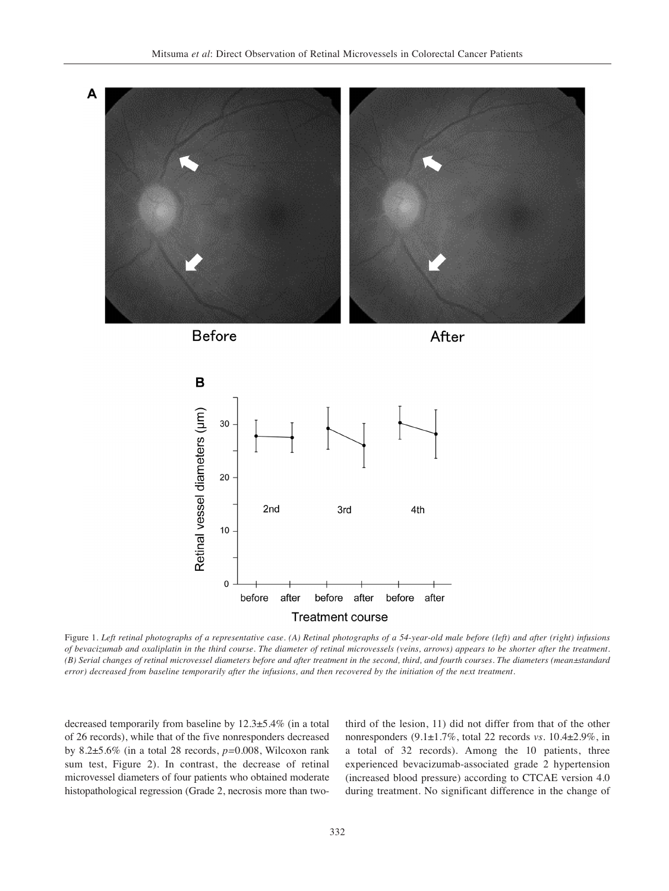







Figure 1. Left retinal photographs of a representative case. (A) Retinal photographs of a 54-year-old male before (left) and after (right) infusions of bevacizumab and oxaliplatin in the third course. The diameter of retinal microvessels (veins, arrows) appears to be shorter after the treatment. (B) Serial changes of retinal microvessel diameters before and after treatment in the second, third, and fourth courses. The diameters (mean±standard error) decreased from baseline temporarily after the infusions, and then recovered by the initiation of the next treatment.

decreased temporarily from baseline by 12.3±5.4% (in a total of 26 records), while that of the five nonresponders decreased by 8.2±5.6% (in a total 28 records, *p=*0.008, Wilcoxon rank sum test, Figure 2). In contrast, the decrease of retinal microvessel diameters of four patients who obtained moderate histopathological regression (Grade 2, necrosis more than twothird of the lesion, 11) did not differ from that of the other nonresponders (9.1±1.7%, total 22 records *vs.* 10.4±2.9%, in a total of 32 records). Among the 10 patients, three experienced bevacizumab-associated grade 2 hypertension (increased blood pressure) according to CTCAE version 4.0 during treatment. No significant difference in the change of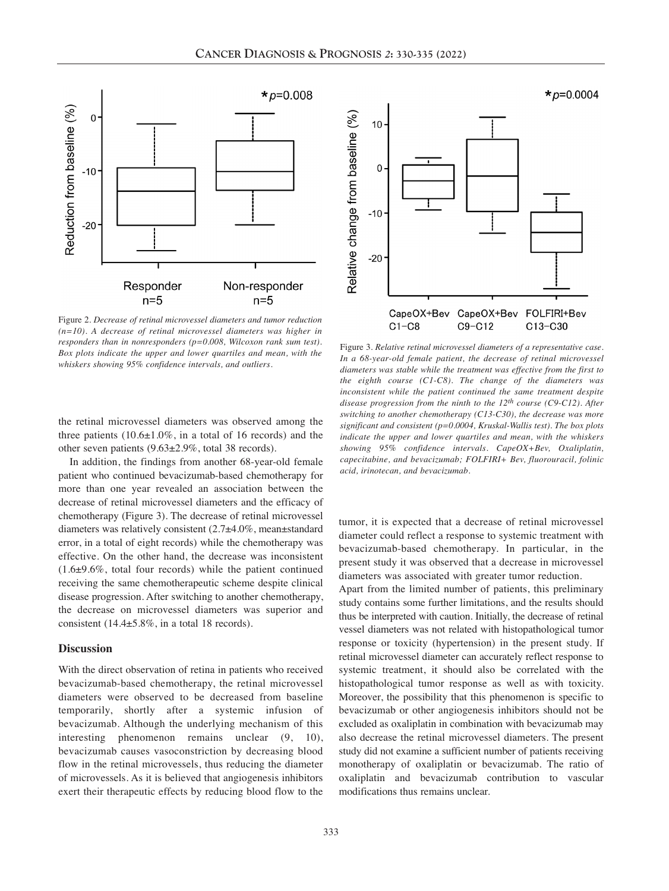

Figure 2. *Decrease of retinal microvessel diameters and tumor reduction (n=10). A decrease of retinal microvessel diameters was higher in responders than in nonresponders (p=0.008, Wilcoxon rank sum test). Box plots indicate the upper and lower quartiles and mean, with the whiskers showing 95% confidence intervals, and outliers.*

the retinal microvessel diameters was observed among the three patients  $(10.6\pm1.0\%$ , in a total of 16 records) and the other seven patients (9.63±2.9%, total 38 records).

In addition, the findings from another 68-year-old female patient who continued bevacizumab-based chemotherapy for more than one year revealed an association between the decrease of retinal microvessel diameters and the efficacy of chemotherapy (Figure 3). The decrease of retinal microvessel diameters was relatively consistent (2.7±4.0%, mean±standard error, in a total of eight records) while the chemotherapy was effective. On the other hand, the decrease was inconsistent (1.6±9.6%, total four records) while the patient continued receiving the same chemotherapeutic scheme despite clinical disease progression. After switching to another chemotherapy, the decrease on microvessel diameters was superior and consistent (14.4±5.8%, in a total 18 records).

# **Discussion**

With the direct observation of retina in patients who received bevacizumab-based chemotherapy, the retinal microvessel diameters were observed to be decreased from baseline temporarily, shortly after a systemic infusion of bevacizumab. Although the underlying mechanism of this interesting phenomenon remains unclear (9, 10), bevacizumab causes vasoconstriction by decreasing blood flow in the retinal microvessels, thus reducing the diameter of microvessels. As it is believed that angiogenesis inhibitors exert their therapeutic effects by reducing blood flow to the



Figure 3. *Relative retinal microvessel diameters of a representative case. In a 68-year-old female patient, the decrease of retinal microvessel diameters was stable while the treatment was effective from the first to the eighth course (C1-C8). The change of the diameters was inconsistent while the patient continued the same treatment despite disease progression from the ninth to the 12th course (C9-C12). After switching to another chemotherapy (C13-C30), the decrease was more significant and consistent (p=0.0004, Kruskal-Wallis test). The box plots indicate the upper and lower quartiles and mean, with the whiskers showing 95% confidence intervals. CapeOX+Bev, Oxaliplatin, capecitabine, and bevacizumab; FOLFIRI+ Bev, fluorouracil, folinic acid, irinotecan, and bevacizumab.*

tumor, it is expected that a decrease of retinal microvessel diameter could reflect a response to systemic treatment with bevacizumab-based chemotherapy. In particular, in the present study it was observed that a decrease in microvessel diameters was associated with greater tumor reduction.

Apart from the limited number of patients, this preliminary study contains some further limitations, and the results should thus be interpreted with caution. Initially, the decrease of retinal vessel diameters was not related with histopathological tumor response or toxicity (hypertension) in the present study. If retinal microvessel diameter can accurately reflect response to systemic treatment, it should also be correlated with the histopathological tumor response as well as with toxicity. Moreover, the possibility that this phenomenon is specific to bevacizumab or other angiogenesis inhibitors should not be excluded as oxaliplatin in combination with bevacizumab may also decrease the retinal microvessel diameters. The present study did not examine a sufficient number of patients receiving monotherapy of oxaliplatin or bevacizumab. The ratio of oxaliplatin and bevacizumab contribution to vascular modifications thus remains unclear.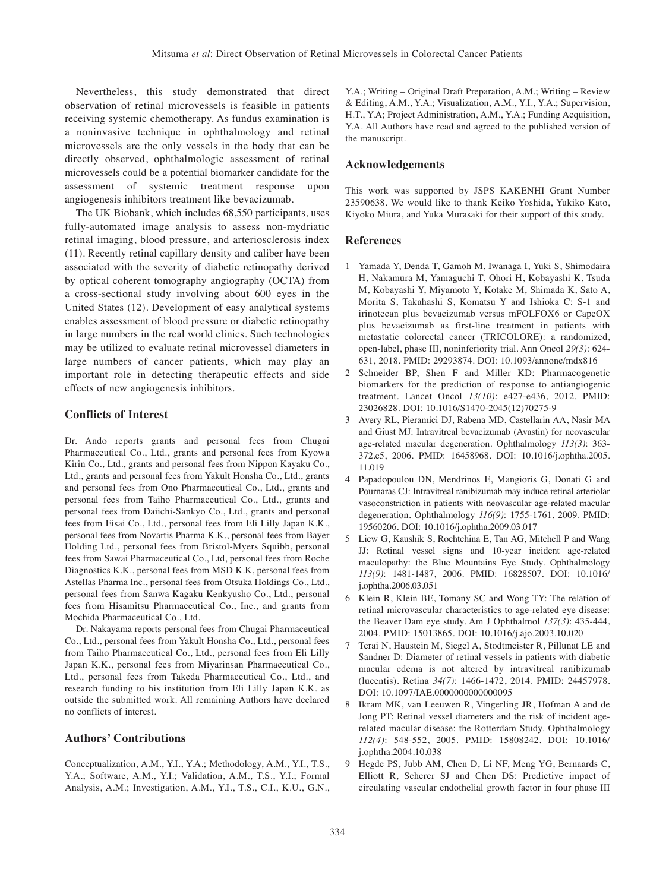Nevertheless, this study demonstrated that direct observation of retinal microvessels is feasible in patients receiving systemic chemotherapy. As fundus examination is a noninvasive technique in ophthalmology and retinal microvessels are the only vessels in the body that can be directly observed, ophthalmologic assessment of retinal microvessels could be a potential biomarker candidate for the assessment of systemic treatment response upon angiogenesis inhibitors treatment like bevacizumab.

The UK Biobank, which includes 68,550 participants, uses fully-automated image analysis to assess non-mydriatic retinal imaging, blood pressure, and arteriosclerosis index (11). Recently retinal capillary density and caliber have been associated with the severity of diabetic retinopathy derived by optical coherent tomography angiography (OCTA) from a cross-sectional study involving about 600 eyes in the United States (12). Development of easy analytical systems enables assessment of blood pressure or diabetic retinopathy in large numbers in the real world clinics. Such technologies may be utilized to evaluate retinal microvessel diameters in large numbers of cancer patients, which may play an important role in detecting therapeutic effects and side effects of new angiogenesis inhibitors.

#### **Conflicts of Interest**

Dr. Ando reports grants and personal fees from Chugai Pharmaceutical Co., Ltd., grants and personal fees from Kyowa Kirin Co., Ltd., grants and personal fees from Nippon Kayaku Co., Ltd., grants and personal fees from Yakult Honsha Co., Ltd., grants and personal fees from Ono Pharmaceutical Co., Ltd., grants and personal fees from Taiho Pharmaceutical Co., Ltd., grants and personal fees from Daiichi-Sankyo Co., Ltd., grants and personal fees from Eisai Co., Ltd., personal fees from Eli Lilly Japan K.K., personal fees from Novartis Pharma K.K., personal fees from Bayer Holding Ltd., personal fees from Bristol-Myers Squibb, personal fees from Sawai Pharmaceutical Co., Ltd, personal fees from Roche Diagnostics K.K., personal fees from MSD K.K, personal fees from Astellas Pharma Inc., personal fees from Otsuka Holdings Co., Ltd., personal fees from Sanwa Kagaku Kenkyusho Co., Ltd., personal fees from Hisamitsu Pharmaceutical Co., Inc., and grants from Mochida Pharmaceutical Co., Ltd.

Dr. Nakayama reports personal fees from Chugai Pharmaceutical Co., Ltd., personal fees from Yakult Honsha Co., Ltd., personal fees from Taiho Pharmaceutical Co., Ltd., personal fees from Eli Lilly Japan K.K., personal fees from Miyarinsan Pharmaceutical Co., Ltd., personal fees from Takeda Pharmaceutical Co., Ltd., and research funding to his institution from Eli Lilly Japan K.K. as outside the submitted work. All remaining Authors have declared no conflicts of interest.

# **Authors' Contributions**

Conceptualization, A.M., Y.I., Y.A.; Methodology, A.M., Y.I., T.S., Y.A.; Software, A.M., Y.I.; Validation, A.M., T.S., Y.I.; Formal Analysis, A.M.; Investigation, A.M., Y.I., T.S., C.I., K.U., G.N., Y.A.; Writing – Original Draft Preparation, A.M.; Writing – Review & Editing, A.M., Y.A.; Visualization, A.M., Y.I., Y.A.; Supervision, H.T., Y.A; Project Administration, A.M., Y.A.; Funding Acquisition, Y.A. All Authors have read and agreed to the published version of the manuscript.

### **Acknowledgements**

This work was supported by JSPS KAKENHI Grant Number 23590638. We would like to thank Keiko Yoshida, Yukiko Kato, Kiyoko Miura, and Yuka Murasaki for their support of this study.

#### **References**

- 1 Yamada Y, Denda T, Gamoh M, Iwanaga I, Yuki S, Shimodaira H, Nakamura M, Yamaguchi T, Ohori H, Kobayashi K, Tsuda M, Kobayashi Y, Miyamoto Y, Kotake M, Shimada K, Sato A, Morita S, Takahashi S, Komatsu Y and Ishioka C: S-1 and irinotecan plus bevacizumab versus mFOLFOX6 or CapeOX plus bevacizumab as first-line treatment in patients with metastatic colorectal cancer (TRICOLORE): a randomized, open-label, phase III, noninferiority trial. Ann Oncol *29(3)*: 624- 631, 2018. PMID: 29293874. DOI: 10.1093/annonc/mdx816
- 2 Schneider BP, Shen F and Miller KD: Pharmacogenetic biomarkers for the prediction of response to antiangiogenic treatment. Lancet Oncol *13(10)*: e427-e436, 2012. PMID: 23026828. DOI: 10.1016/S1470-2045(12)70275-9
- 3 Avery RL, Pieramici DJ, Rabena MD, Castellarin AA, Nasir MA and Giust MJ: Intravitreal bevacizumab (Avastin) for neovascular age-related macular degeneration. Ophthalmology *113(3)*: 363- 372.e5, 2006. PMID: 16458968. DOI: 10.1016/j.ophtha.2005. 11.019
- 4 Papadopoulou DN, Mendrinos E, Mangioris G, Donati G and Pournaras CJ: Intravitreal ranibizumab may induce retinal arteriolar vasoconstriction in patients with neovascular age-related macular degeneration. Ophthalmology *116(9)*: 1755-1761, 2009. PMID: 19560206. DOI: 10.1016/j.ophtha.2009.03.017
- 5 Liew G, Kaushik S, Rochtchina E, Tan AG, Mitchell P and Wang JJ: Retinal vessel signs and 10-year incident age-related maculopathy: the Blue Mountains Eye Study. Ophthalmology *113(9)*: 1481-1487, 2006. PMID: 16828507. DOI: 10.1016/ j.ophtha.2006.03.051
- 6 Klein R, Klein BE, Tomany SC and Wong TY: The relation of retinal microvascular characteristics to age-related eye disease: the Beaver Dam eye study. Am J Ophthalmol *137(3)*: 435-444, 2004. PMID: 15013865. DOI: 10.1016/j.ajo.2003.10.020
- 7 Terai N, Haustein M, Siegel A, Stodtmeister R, Pillunat LE and Sandner D: Diameter of retinal vessels in patients with diabetic macular edema is not altered by intravitreal ranibizumab (lucentis). Retina *34(7)*: 1466-1472, 2014. PMID: 24457978. DOI: 10.1097/IAE.0000000000000095
- Ikram MK, van Leeuwen R, Vingerling JR, Hofman A and de Jong PT: Retinal vessel diameters and the risk of incident agerelated macular disease: the Rotterdam Study. Ophthalmology *112(4)*: 548-552, 2005. PMID: 15808242. DOI: 10.1016/ j.ophtha.2004.10.038
- 9 Hegde PS, Jubb AM, Chen D, Li NF, Meng YG, Bernaards C, Elliott R, Scherer SJ and Chen DS: Predictive impact of circulating vascular endothelial growth factor in four phase III